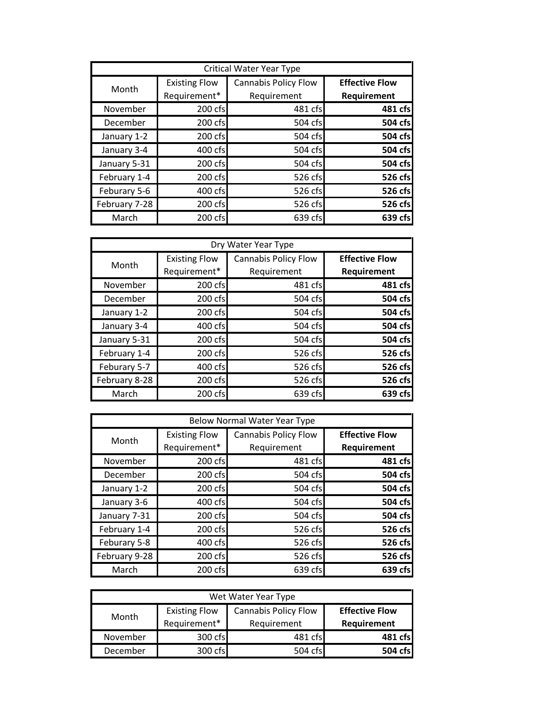| <b>Critical Water Year Type</b> |                      |                             |                       |
|---------------------------------|----------------------|-----------------------------|-----------------------|
| Month                           | <b>Existing Flow</b> | <b>Cannabis Policy Flow</b> | <b>Effective Flow</b> |
|                                 | Requirement*         | Requirement                 | Requirement           |
| November                        | 200 cfs              | 481 cfs                     | 481 cfs               |
| December                        | 200 cfs              | 504 cfs                     | 504 cfs               |
| January 1-2                     | 200 cfs              | 504 cfs                     | 504 cfs               |
| January 3-4                     | 400 cfs              | 504 cfs                     | 504 cfs               |
| January 5-31                    | 200 cfs              | 504 cfsl                    | 504 cfs               |
| February 1-4                    | 200 cfs              | 526 cfs                     | 526 cfs               |
| Feburary 5-6                    | 400 cfs              | 526 cfs                     | 526 cfs               |
| February 7-28                   | 200 cfs              | 526 cfs                     | 526 cfs               |
| March                           | 200 cfs              | 639 cfs                     | 639 cfs               |

| Dry Water Year Type |                      |                             |                       |
|---------------------|----------------------|-----------------------------|-----------------------|
| Month               | <b>Existing Flow</b> | <b>Cannabis Policy Flow</b> | <b>Effective Flow</b> |
|                     | Requirement*         | Requirement                 | Requirement           |
| November            | 200 cfs              | 481 cfs                     | 481 cfs               |
| December            | 200 cfs              | 504 cfs                     | 504 cfs               |
| January 1-2         | 200 cfs              | 504 cfs                     | 504 cfs               |
| January 3-4         | 400 cfs              | 504 cfs                     | 504 cfs               |
| January 5-31        | 200 cfs              | 504 cfs                     | 504 cfs               |
| February 1-4        | 200 cfs              | 526 cfs                     | 526 cfs               |
| Feburary 5-7        | 400 cfs              | 526 cfs                     | 526 cfs               |
| February 8-28       | 200 cfs              | 526 cfs                     | 526 cfs               |
| March               | 200 cfs              | 639 cfs                     | 639 cfs               |

| <b>Below Normal Water Year Type</b> |                      |                             |                       |
|-------------------------------------|----------------------|-----------------------------|-----------------------|
| Month                               | <b>Existing Flow</b> | <b>Cannabis Policy Flow</b> | <b>Effective Flow</b> |
|                                     | Requirement*         | Requirement                 | Requirement           |
| November                            | 200 cfs              | 481 cfs                     | 481 cfs               |
| December                            | 200 cfs              | 504 cfs                     | 504 cfs               |
| January 1-2                         | 200 cfs              | 504 cfs                     | 504 cfs               |
| January 3-6                         | 400 cfs              | 504 cfs                     | 504 cfs               |
| January 7-31                        | 200 cfs              | 504 cfs                     | 504 cfs               |
| February 1-4                        | 200 cfs              | 526 cfs                     | 526 cfs               |
| Feburary 5-8                        | 400 cfs              | 526 cfs                     | 526 cfs               |
| February 9-28                       | 200 cfs              | 526 cfs                     | 526 cfs               |
| March                               | 200 cfs              | 639 cfs                     | 639 cfs               |

| Wet Water Year Type |                      |                             |                       |
|---------------------|----------------------|-----------------------------|-----------------------|
| Month               | <b>Existing Flow</b> | <b>Cannabis Policy Flow</b> | <b>Effective Flow</b> |
|                     | Requirement*         | Requirement                 | Requirement           |
| November            | 300 cfs              | 481 cfs                     | 481 cfs               |
| December            | 300 cfs              | 504 cfs                     | 504 cfs               |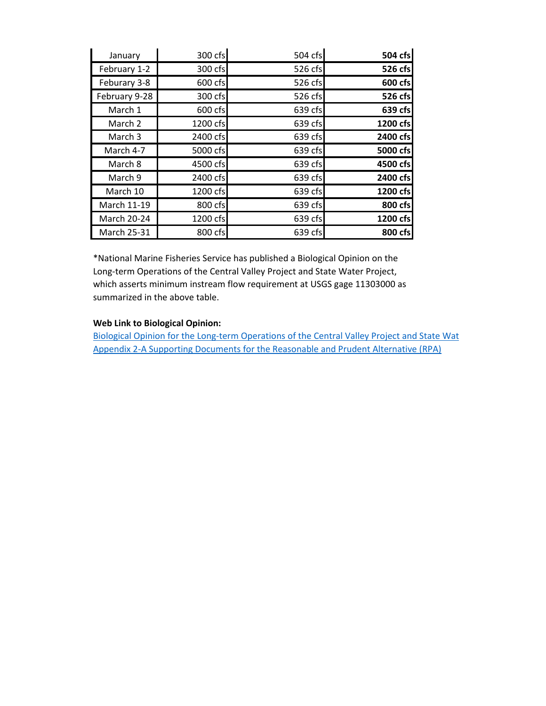| January            | 300 cfs  | 504 cfs | 504 cfs  |
|--------------------|----------|---------|----------|
| February 1-2       | 300 cfs  | 526 cfs | 526 cfs  |
| Feburary 3-8       | 600 cfs  | 526 cfs | 600 cfs  |
| February 9-28      | 300 cfs  | 526 cfs | 526 cfs  |
| March 1            | 600 cfs  | 639 cfs | 639 cfs  |
| March 2            | 1200 cfs | 639 cfs | 1200 cfs |
| March 3            | 2400 cfs | 639 cfs | 2400 cfs |
| March 4-7          | 5000 cfs | 639 cfs | 5000 cfs |
| March 8            | 4500 cfs | 639 cfs | 4500 cfs |
| March 9            | 2400 cfs | 639 cfs | 2400 cfs |
| March 10           | 1200 cfs | 639 cfs | 1200 cfs |
| March 11-19        | 800 cfs  | 639 cfs | 800 cfs  |
| March 20-24        | 1200 cfs | 639 cfs | 1200 cfs |
| <b>March 25-31</b> | 800 cfs  | 639 cfs | 800 cfs  |

\*National Marine Fisheries Service has published a Biological Opinion on the Long-term Operations of the Central Valley Project and State Water Project, which asserts minimum instream flow requirement at USGS gage 11303000 as summarized in the above table.

## **Web Link to Biological Opinion:**

Biological Opinion for the Long-term Operations of the Central Valley Project and State Wat [Appendix 2-A Supporting Documents for the Reasonable and Prudent Alternative \(RPA\)](http://www.westcoast.fisheries.noaa.gov/publications/Central_Valley/Water Operations/Operations, Criteria and Plan/appendix_2-rpa_supporting_documents_compiled.pdf)